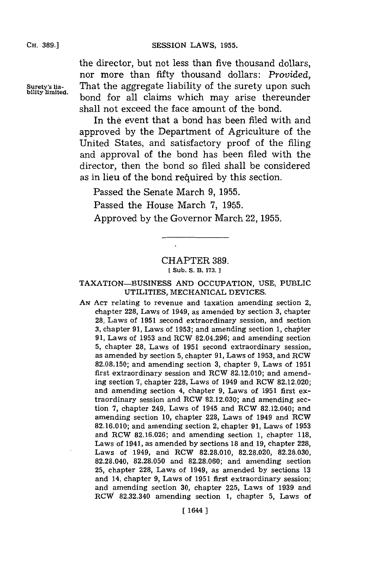the director, but not less than five thousand dollars, nor more than fifty thousand dollars: *Provided,* **Surety's lia-** That the aggregate liability of the surety upon such bond for all claims which may arise thereunder shall not exceed the face amount of the bond.

> In the event that a bond has been filed with and approved **by** the Department of Agriculture of the United States, and satisfactory proof of the filing and approval of the bond has been filed with the director, then the bond so filed shall be considered as in lieu of the bond required by this section.

Passed the Senate March **9, 1955.**

Passed the House March **7, 1955.**

Approved **by** the Governor March 22, **1955.**

## CHAPTER **389.** [ Sub. S. B. 173. ]

# TAXATION-BUSINESS **AND** OCCUPATION, **USE,** PUBLIC UTILITIES, MECHANICAL DEVICES.

**AN ACT** relating to revenue and taxation amending section 2, chapter **228,** Laws of 1949, as amended **by** section **3,** chapter **28,** Laws of **1951** second extraordinary session, and section **3, chapter 91, Laws of 1953; and amending section 1, chapter 91,** Laws of **1953** and RCW **82.04.296;** and amending section **5,** chapter **28,** Laws of **1951** second extraordinary session, as amended **by** section **5,** chapter **91,** Laws of **1953,** and RCW **82.08.150;** and amending section **3,** chapter **9,** Laws of **1951** first extraordinary session and RCW **82.12.010;** and amending section **7,** chapter **228,** Laws of 1949 and RCW **82.12.020;** and amending section 4, chapter **9,** Laws of **1951** first extraordinary session and RCW **82.12.030;** and amending section **7,** chapter 249, Laws of 1945 and RCW 82.12.040; and amending section **10,** chapter **228,** Laws of 1949 and RCW **82.16.010;** and amending section 2, chapter **91,** Laws of **1953** and RCW **82.16.026;** and amending section **1,** chapter **118,** Laws of 1941, as amended **by** sections **18** and **19,** chapter **228,** Laws of 1949, and RCW **82.28.010, 82.28.020, 82.28.030, 82.28.040, 82.28.050** and **82.28.060;** and amending section **25,** chapter **228,** Laws of 1949, as amended **by** sections **13** and 14, chapter **9,** Laws of **1951** first extraordinary session; and amending section **30,** chapter **225,** Laws of **1939** and RCW **82.32.340** amending section **1,** chapter **5,** Laws of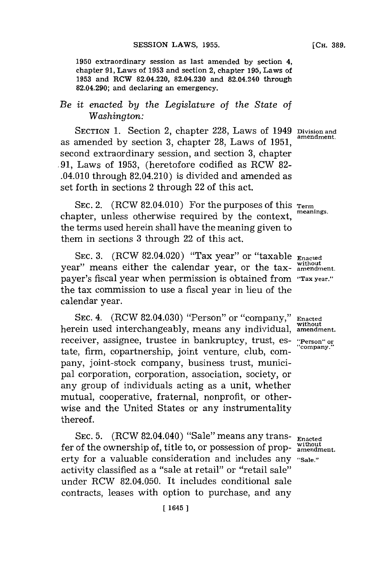**1950** extraordinary session as last amended **by** section 4, chapter **91,** Laws of **1953** and section 2, chapter **195,** Laws of **1953** and RCW 82.04.220, 82.04.230 and 82.04.240 through 82.04.290; and declaring an emergency.

# *Be it enacted by the Legislature of the State of Washington:*

**SECTION 1.** Section 2, chapter **228,** Laws of 1949 **Division and** as amended by section 3, chapter 28, Laws of 1951, second extraordinary session, and section **3,** chapter **.91,** Laws of **1953,** (heretofore codified as RCW **82-** .04.010 through 82.04.210) is divided and amended as set forth in sections 2 through 22 of this act.

SEC. 2. (RCW 82.04.010) For the purposes of this **Term**<br>the compact the purpose of this **Term** chapter, unless otherwise required by the context, the terms used herein shall have the meaning given to them in sections **3** through 22 of this act.

**SEC. 3.** (RCW 82.04.020) "Tax year" or "taxable **Enacted without** year" means either the calendar year, or the tax- **amendment.** payer's fiscal year when permission is obtained from **"Tax year."** the tax commission to use a fiscal year in lieu of the calendar year.

**SEC.** 4. (RCW 82.04.030) "Person" or "company," **Enacted** herein used interchangeably, means any individual, **amendment.** receiver, assignee, trustee in bankruptcy, trust, es- **"Person" or** tate, firm, copartnership, joint venture, club, company, joint-stock company, business trust, municipal corporation, corporation, association, society, or any group of individuals acting as a unit, whether mutual, cooperative, fraternal, nonprofit, or otherwise and the United States or any instrumentality thereof.

**SEC. 5.** (RCW 82.04.040) "Sale" means any trans- **Enacted** fer of the ownership of, title to, or possession of prop- without erty for a valuable consideration and includes any **"Sale."** activity classified as a "sale at retail" or "retail sale" under RCW 82.04.050. It includes conditional sale contracts, leases with option to purchase, and any

**[CH. 389.**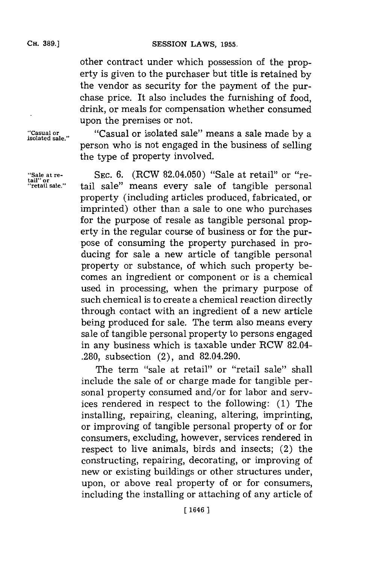other contract under which possession of the property is given to the purchaser but title is retained **by** the vendor as security for the payment of the purchase price. It also includes the furnishing of food, drink, or meals for compensation whether consumed upon the premises or not.

**"Casual or** "Casual or isolated sale" means a sale made **by** <sup>a</sup> **isolated sale."** person who is not engaged in the business of selling the type of property involved.

**'Sale at re- SEC. 6.** (RCW 82.04.050) "Sale at retail" or "retail sale" means every sale of tangible personal property (including articles produced, fabricated, or imprinted) other than a sale to one who purchases for the purpose of resale as tangible personal property in the regular course of business or for the purpose of consuming the property purchased in producing for sale a new article of tangible personal property or substance, of which such property becomes an ingredient or component or is a chemical used in processing, when the primary purpose of such chemical is to create a chemical reaction directly through contact with an ingredient of a new article being produced **for** sale. The term also means every sale of tangible personal property to persons engaged in any business which is taxable under RCW 82.04- **.280,** subsection (2), and 82.04.290.

> The term "sale at retail" or "retail sale" shall include the sale of or charge made for tangible personal property consumed and/or for labor and services rendered in respect to the following: **(1)** The installing, repairing, cleaning, altering, imprinting, or improving of tangible personal property of or for consumers, excluding, however, services rendered in respect to live animals, birds and insects; (2) the constructing, repairing, decorating, or improving of new or existing buildings or other structures under, upon, or above real property of or for consumers, including the installing or attaching of any article of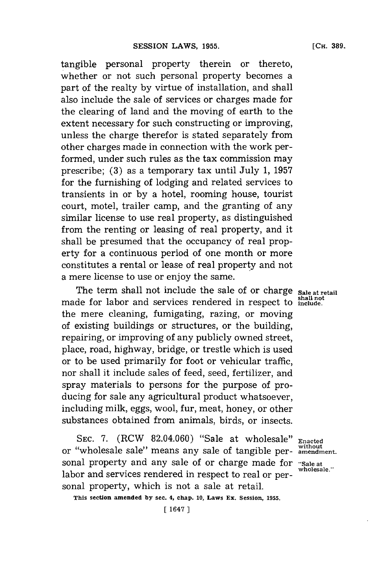tangible personal property therein or thereto, whether or not such personal property becomes a part of the realty **by** virtue of installation, and shall also include the sale of services or charges made for the clearing of land and the moving of earth to the extent necessary **for** such constructing or improving, unless the charge therefor is stated separately from other charges made in connection with the work performed, under such rules as the tax commission may prescribe; **(3)** as a temporary tax until July **1, 1957** for the furnishing of lodging and related services to transients in or **by** a hotel, rooming house, tourist court, motel, trailer camp, and the granting of any similar license to use real property, as distinguished from the renting or leasing of real property, and it shall be presumed that the occupancy of real property for a continuous period of one month or more constitutes a rental or lease of real property and not a mere license to use or enjoy the same.

The term shall not include the sale of or charge sale at retail **shall not** made for labor and services rendered in respect to **include.** the mere cleaning, fumigating, razing, or moving of existing buildings or structures, or the building, repairing, or improving of any publicly owned street, place, road, highway, bridge, or trestle which is used or to be used primarily for foot or vehicular traffic, nor shall it include sales of feed, seed, fertilizer, and spray materials to persons for the purpose of producing for sale any agricultural product whatsoever, including milk, eggs, wool, fur, meat, honey, or other substances obtained from animals, birds, or insects.

**SEC. 7.** (RCW 82.04.060) "Sale at wholesale" **Enacted** or "wholesale sale" means any sale of tangible personal property and any sale of or charge made for "Sale at the left of property and any sale of or charge made for  $\frac{1}{2}$ labor and services rendered in respect to real or personal property, which is not a sale at retail.

**This section amended by sec. 4, chap. 10, Laws Ex. Session, 1955.**

without<br>amendment.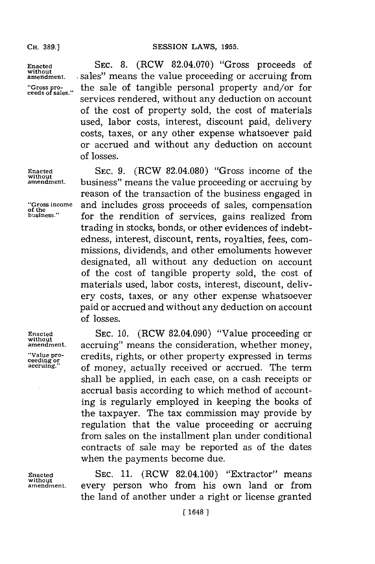**ceeds of sales."**

Enacted **SEC. 8.** (RCW 82.04.070) "Gross proceeds of without amendment. sales" means the value proceeding or accruing from **amendment.** sales" means the value proceeding or accruing from the sale of tangible personal property and/or for services rendered, without any deduction on account of the cost of property sold, the cost of materials used, labor costs, interest, discount paid, delivery

> costs, taxes, or any other expense whatsoever paid or accrued and without any deduction on account of losses.

**Enacted SEC. 9.** (RCW **82.04.080)** "Gross income of the **without.** business" means the value proceeding or accruing **by** reason of the transaction of the business engaged in **"Gross income** and includes gross proceeds of sales, compensation **of the** for the rendition of services, gains realized from trading in stocks, bonds, or other evidences of indebtedness, interest, discount, rents, royalties, fees, commissions, dividends, and other emoluments however designated, all without any deduction on account of the cost of tangible property sold, the cost of materials used, labor costs, interest, discount, delivery costs, taxes, or any other expense whatsoever paid or accrued and without any deduction on account of losses.

**Enacted SEC. 10.** (RCW 82.04.090) "Value proceeding or accruing" means the consideration, whether money, **"Valpe pro-** credits, ihs or other prpryexpressed i em **ceeding** orrihsprpryntem **accruing."** of money, actually received or accrued. The term shall be applied, in each case, on a cash receipts or accrual basis according to which method of accounting is regularly employed in keeping the books of the taxpayer. The tax commission may provide **by** regulation that the value proceeding or accruing from sales on the installment plan under conditional contracts of sale may be reported as of the dates when the payments become due.

**Enacted SEC. 11.** (RCW 82.04.100) "Extractor" means every person who from his own land or from the land of another under a right or license granted

**without**

**without**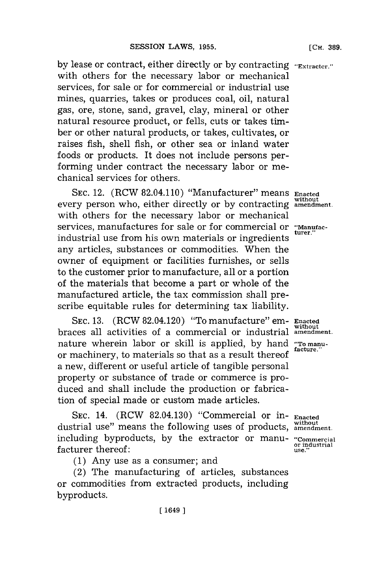**by** lease or contract, either directly or **by** contracting **'Extractcr."** with others for the necessary labor or mechanical services, for sale or for commercial or industrial use mines, quarries, takes or produces coal, oil, natural gas, ore, stone, sand, gravel, clay, mineral or other natural resource product, or fells, cuts or takes timber or other natural products, or takes, cultivates, or raises fish, shell fish, or other sea or inland water foods or products. It does not include persons performing under contract the necessary labor or mechanical services for others.

**SEC.** 12. (RCW 82.04.110) "Manufacturer" means **Enacted** every person who, either directly or **by** contracting **amendment.** with others for the necessary labor or mechanical services, manufactures for sale or for commercial or "Manufacindustrial use from his own materials or ingredients any articles, substances or commodities. When the owner of equipment or facilities furnishes, or sells to the customer prior to manufacture, all or a portion of the materials that become a part or whole of the manufactured article, the tax commission shall prescribe equitable rules for determining tax liability.

**SEC. 13.** (RCW 82.04.120) "To manufacture" em- **Enacted** braces all activities of a commercial or industrial amendment. nature wherein labor or skill is applied, by hand **"To manu**or machinery, to materials so that as a result thereof **facture,"** a new, different or useful article of tangible personal property or substance of trade or commerce is produced and shall include the production or fabrication of special made or custom made articles.

**SEC.** 14. (RCW 82.04.130) "Commercial or in- **Enacted without** dustrial use" means the following uses of products, **amendment.** including byproducts, by the extractor or manu- **"Commercial**<br>facturer thereof: use." facturer thereof:

**(1)** Any use as a consumer; and

(2) The manufacturing of articles, substances or commodities from extracted products, including byproducts.

**without**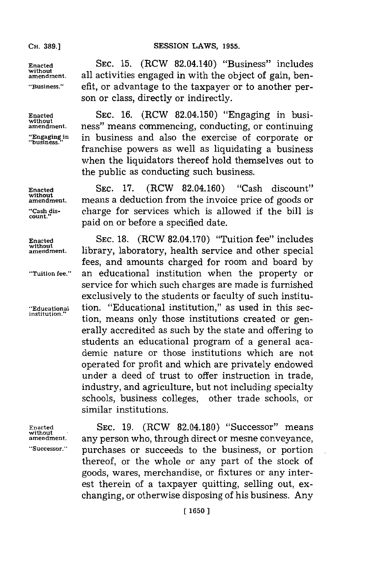### **CH. 389.]**

**without**

count.

**without**

# **SESSION LAWS, 1955.**

**Enacted SEC. 15.** (ROW 82.04.140) "Business" includes **without.** all activities engaged in with the object of gain, ben- **"Business."** efit, or advantage to the taxpayer or to another person or class, directly or indirectly.

**Enacted SEC. 16.** (ROW 82.04.150) "Engaging in busi**withdmt.** ness" means commencing, conducting, or continuing **":Engaging'in** in business and also the exercise of corporate or franchise powers as well as liquidating a business when the liquidators thereof hold themselves out to the public as conducting such business.

**Enacted SEC. 17.** (RCW 82.04.160) "Cash discount" means a deduction from the invoice price of goods or **"Cash dis-** charge for services which is allowed if the bill is paid on or before a specified date.

**Enacted SEC. 18.** (RCW **82.04.170)** "Tuition fee" includes without<br>amendment. library, laboratory, health service and other special fees, and amounts charged for room and board **by "Tuition fee."** an educational institution when the property or service for which such charges are made is furnished exclusively to the students or faculty of such institu- **"Educational** tion. "Educational institution," as used in this section, means only those institutions created or generally accredited as such **by** the state and offering to students an educational program of a general academic nature or those institutions which are not operated for profit and which are privately endowed under a deed of trust to offer instruction in trade, industry, and agriculture, but not including specialty schools, business colleges, other trade schools, or similar institutions.

**Enacted SEC. 19.** (RCW **82.04.180)** "Successor" means any person who, through direct or mesne conveyance, **"Successor."** purchases or succeeds to the business, or portion thereof, or the whole or any part of the stock of goods, wares, merchandise, or fixtures or any interest therein of a taxpayer quitting, selling out, exchanging, or otherwise disposing of his business. Any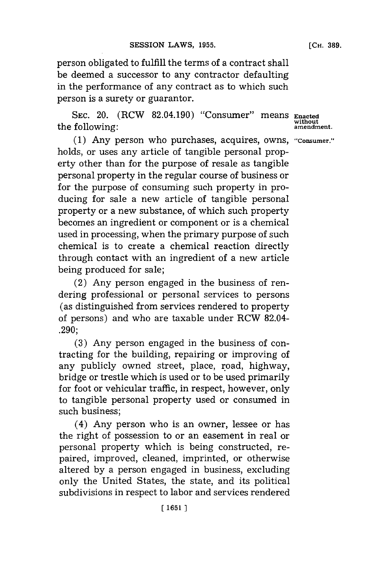**[CH. 389.**

person obligated to fulfill the terms of a contract shall be deemed a successor to any contractor defaulting in the performance of any contract as to which such person is a surety or guarantor.

**SEC.** 20. (RCW 82.04.190) "Consumer" means **Enacted** the following:

*(1)* Any person who purchases, acquires, owns, **"Consumer."** holds, or uses any article of tangible personal property other than for the purpose of resale as tangible personal property in the regular course of business or for the purpose of consuming such property in producing for sale a new article of tangible personal property or a new substance, of which such property becomes an ingredient or component or is a chemical used in processing, when the primary purpose of such chemical is to create a chemical reaction directly through contact with an ingredient of a new article being produced for sale;

(2) Any person engaged in the business of rendering professional or personal services to persons (as distinguished from services rendered to property of persons) and who are taxable under RCW 82.04- **.290;**

**(3)** Any person engaged in the business of contracting for the building, repairing or improving of any publicly owned street, place, road, highway, bridge or trestle which is used or to be used primarily for foot or vehicular traffic, in respect, however, only to tangible personal property used or consumed in such business;

(4) Any person who is an owner, lessee or has the right of possession to or an easement in real or personal property which is being constructed, repaired, improved, cleaned, imprinted, or otherwise altered **by** a person engaged in business, excluding only the United States, the state, and its political subdivisions in respect to labor and services rendered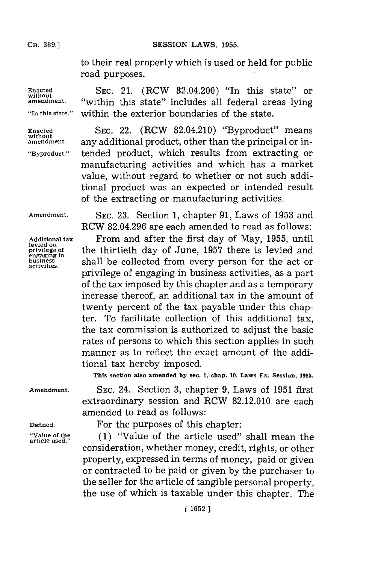to their real property which is used or held for public road purposes.

within the exterior boundaries of the state.

**SEC.** 21. (RCW 82.04.200) "In this state" or "within this state" includes all federal areas lying

**Enacted without amendment.**

**"In this state."~**

**Enacted without amendment.**

**"Byproduct."**

**SEC.** 22. (RCW 82.04.210) "Byproduct" means any additional product, other than the principal or intended product, which results from extracting or manufacturing activities and which has a market value, without regard to whether or not such additional product was an expected or intended result of the extracting or manufacturing activities.

**Amendment.**

**Additional tax levied on privilege of engaging in business activities.**

**SEC. 23.** Section **1,** chapter **91,** Laws of **1953** and RCW **82.04.296** are each amended to read as follows: From and after the first day of May, **1955,** until the thirtieth day of June, **1957** there is levied and shall be collected from every person for the act or privilege of engaging in business activities, as a part of the tax imposed **by** this chapter and as a temporary increase thereof, an additional tax in the amount of twenty percent of the tax payable under this chapter. To facilitate collection of this additional tax, the tax commission is authorized to adjust the basic rates of persons to which this section applies in such manner as to reflect the exact amount of the additional tax hereby imposed.

**This section also amended by sec. 1, chap. 10, Laws Ex. Session, 1955.**

**Amendment.**

**SEC.** 24. Section **3,** chapter **9,** Laws of **1951** first extraordinary session and RCW **82.12.010** are each amended to read as follows:

**Defined.**

**'Value of the article used."**

For the purposes of this chapter:

**(1)** "Value of the article used" shall mean the consideration, whether money, credit, rights, or other property, expressed in terms of money, paid or given or contracted to be paid or given **by** the purchaser to the seller for the article of tangible personal property, the use of which is taxable under this chapter. The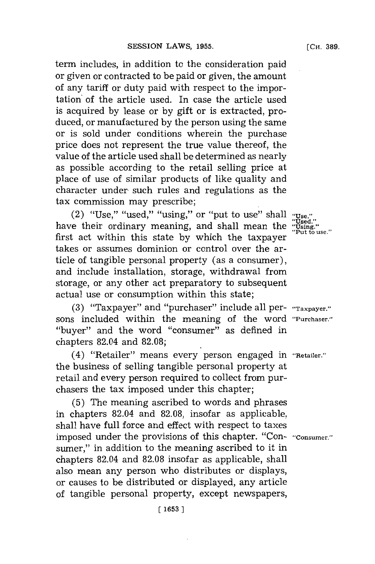term includes, in addition to the consideration paid or given or contracted to be paid or given, the amount of any tariff or duty paid with respect to the importation' of the article used. In case the article used is acquired **by** lease or **by** gift or is extracted, produced, or manufactured **by** the person using the same or is sold under conditions wherein the purchase price does not represent the true value thereof, the value of the article used shall be determined as nearly as possible according to the retail selling price at place of use of similar products of like quality and character under. such rules and regulations as the tax commission may prescribe;

(2) "Use," "used," "using," or "put to use" shall have their ordinary meaning, and shall mean the "Using."<br>"Using." Tusing." first act within this state by which the taxpayer takes or assumes dominion or control over the article of tangible personal property (as a consumer), and include installation, storage, withdrawal from storage, or any other act preparatory to subsequent actual use or consumption within this state;

**(3)** "Taxpayer" and "purchaser" include all per- **"Taxpayer."** sons included within the meaning of the word **"Purchaser."** "buyer" and the word "consumer" as defined in chapters 82.04 and **82.08;**

(4) "Retailer" means every person engaged in **"Retailer."** the business of selling tangible personal property at retail and every person required to collect from purchasers the tax imposed under this chapter;

**(5)** The meaning ascribed to words and phrases in chapters 82.04 and **82.08,** insofar as applicable, shall have full force and effect with respect to taxes imposed under the provisions of this chapter. "Con- **"Consumer."** sumer," in addition to the meaning ascribed to it in chapters 82.04 and **82.08** insofar as applicable, shall also mean any person who distributes or displays, or causes to be distributed or displayed, any article of tangible personal property, except newspapers,

**[ 1653**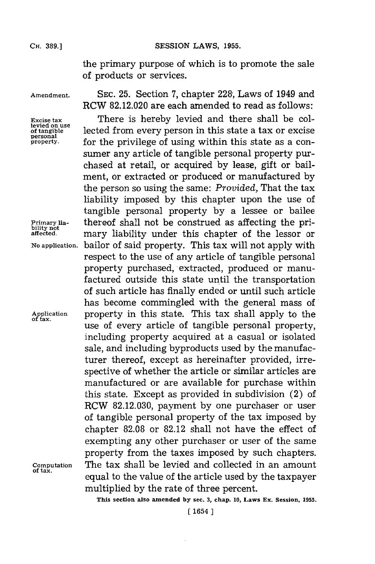the primary purpose of which is to promote the sale of products or services.

**personal**

**of tax.**

**Amendment. SEc. 25.** Section **7,** chapter **228;,** Laws of 1949 and RCW **82.12.020** are each amended to read as follows:

Excise tax **There** is hereby levied and there shall be collevied on use lected from every person in this state a tax or excise lected from every person in this state a tax or excise for the privilege of using within this state as a consumer any article of tangible personal property purchased at retail, or acquired **by** lease, gift or bailment, or extracted or produced or manufactured **by** the person so using the same: *Provided,* That the tax liability imposed **by** this chapter upon the use of tangible personal property **by** a lessee or bailee **Primary lia-** thereof shall not be construed as affecting the pri- **bility not affected.** mary liability under this chapter of the lessor or **No application.** bailor of said property. This tax will not apply with respect to the use of any article of tangible personal property purchased, extracted, produced or manufactured outside this state until the transportation of such article has finally ended or until such article has become commingled with the general mass of property in this state. This tax shall apply to the use of every article of tangible personal property, including property acquired at a casual or isolated sale, and including byproducts used **by** the manufacturer thereof, except as hereinafter provided, irrespective of whether the article or similar articles are manufactured or are available for purchase within this state. Except as provided in subdivision (2) of RCW **82.12.030,** payment **by** one purchaser or user of tangible personal property of the tax imposed **by** chapter **82.08** or **82.12** shall not have the effect of exempting any other purchaser or user of the same property from the taxes imposed **by** such chapters. **Computation** The tax shall be levied and collected in an amount **of tax.** equal to the value of the article used **by** the taxpayer multiplied **by** the rate of three percent.

**This section also amended by sec. 3, chap. 10, Laws Ex. Session, 1955.**

**[ 1654**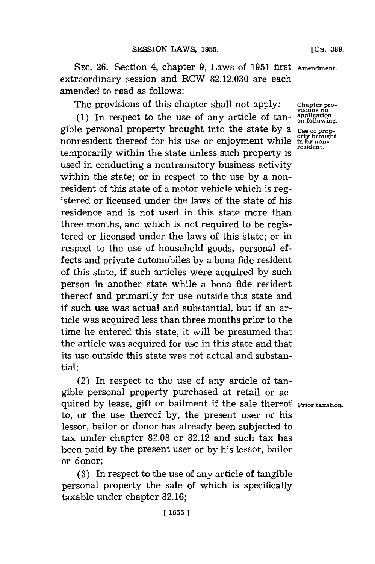**SEC. 26. Section 4, chapter 9, Laws of 1951 first Amendment.** extraordinary session and RCW **82.12.030** are each amended to read as follows:

The provisions of this chapter shall not apply:

**(1)** In respect to the use of any article of tangible personal property brought into the state **by** a nonresident thereof for his use or enjoyment while temporarily within the state unless such property is used in conducting a nontransitory business activity within the state; or in respect to the use **by** a nonresident of this state of a motor vehicle which is registered or licensed under the laws of the state of his residence and is not used in this state more than three months, and which is not required to be registered or licensed under the laws of this §tate; or in respect to the use of household goods, personal effects and private automobiles **by** a bona fide resident of this state, if such articles were acquired **by** such person in another state while a bona fide resident thereof and primarily for use outside this state and if such use was actual and substantial, but if an article was acquired less than three months prior to the time he entered this state, it will be presumed that the article was acquired for use in this state and that its use outside this state was not actual and substantial;

(2) In respect to the use of any article of tangible personal property purchased at retail or acquired by lease, gift or bailment if the sale thereof **Prior** taxation to, or the use thereof **by,** the present user or his lessor, bailor or donor has already been subjected to tax under chapter **82.08** or **82.12** and such tax has been paid **by** the present user or **by** his lessor, bailor or donor;

**(3)** In respect to the use of any article of tangible personal property the sale of which is specifically taxable under chapter **82.16;**

**Chapter pro- visions no appication on following.**

Use of prop-<br> **erty brought**<br> **in by non-**<br> **resident.**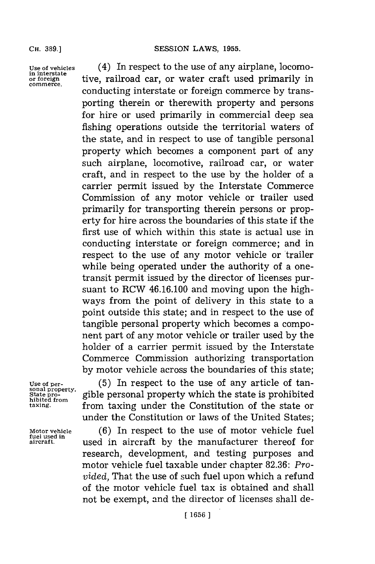**Use of vehicles** (4) In respect to the use of any airplane, locomo**in interstate or foreign** tive, railroad car, or water craft used primarily in **commerce.** conducting interstate or foreign commerce **by** transporting therein or therewith property and persons for hire or used primarily in commercial deep sea fishing operations outside the territorial waters of the state, and in respect to use of tangible personal property which becomes a component part of any such airplane, locomotive, railroad car, or water craft, and in respect to the use **by** the holder of a carrier permit issued **by** the Interstate Commerce Commission of any motor vehicle or trailer used primarily for transporting therein persons or property for hire across the boundaries of this state if the first use of which within this state is actual use in conducting interstate or foreign commerce; and in respect to the use of any motor vehicle or 'trailer while being operated under the authority of a onetransit permit issued **by** the director of licenses pursuant to RCW 46.16.100 and moving upon the highways from the point of delivery in this state to a point outside this state; and in respect to the use of tangible personal property which becomes a component part of any motor vehicle or trailer used **by** the holder of a carrier permit issued **by** the Interstate Commerce Commission authorizing transportation **by** motor vehicle across the boundaries of this state;

**sonal property.**

**fuel used in**

**Use of per- (5)** In respect to the use of any article of tan-State pro-<br> **State pro-** *gible personal property which the state is prohibited*<br> *taxing state from taxing under the Constitution of the state or* from taxing under the Constitution of the state or under the Constitution or laws of the United States;

**Motor vehicle (6)** In respect to the use of motor vehicle fuel **aircraft,** used in aircraft **by** the manufacturer thereof for research, development, and testing purposes and motor vehicle fuel taxable under chapter **82.36:** *Provided,* That the use of such fuel upon which a refund of the motor vehicle fuel tax is obtained and shall not be exempt, and the director of licenses shall de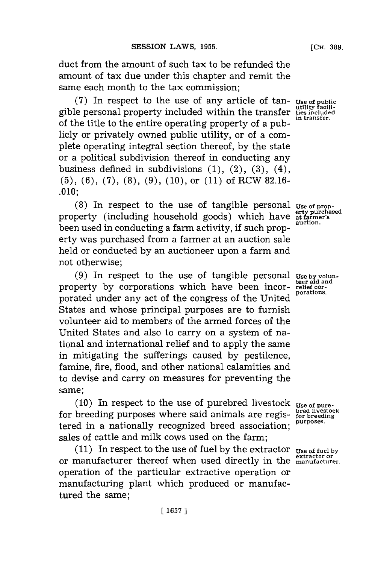duct from the amount of such tax to be refunded the amount of tax due under this chapter and remit the same each month to the tax commission;

**(7)** In respect to the use of any article of tangible personal property included within the transfer of the title to the entire operating property of a publicly or privately owned public utility, or of a complete operating integral section thereof, **by** the state or a political subdivision thereof in conducting any business defined in subdivisions **(1),** (2), **(3),** (4), **(5), (6), (7), (8), (9), (10),** or **(11)** of RCW **82.16- .010;**

(8) In respect to the use of tangible personal Use of propproperty (including household goods) which have been used in conducting a farm activity, if such property was purchased from a farmer at an auction sale held or conducted **by** an auctioneer upon a farm and not otherwise;

**(9)** In respect to the use of tangible personal property **by** corporations which have been incorporated under any act of the congress of the United States and whose principal purposes are to furnish volunteer aid to members of the armed forces of the United States and also to carry on a system of national and international relief and to apply the same in mitigating the sufferings caused **by** pestilence, famine, fire, flood, and other national calamities and to devise and carry on measures for preventing the same;

(10) In respect to the use of purebred livestock  $_{Use\ of\ pure}$ <br>breeding purposes where said animals are regis- $_{for\ Bred\ inject\ on}^{bred\ liver.}$ for breeding purposes where said animals are regis-<br>three branching and proposed head and purposes. tered in a nationally recognized breed association; sales of cattle and milk cows used on the farm;

**(11)** In respect to the use of fuel **by** the extractor **Use of fuel by extractor or** or manufacturer thereof when used directly in the **manufacturer.** operation of the particular extractive operation or manufacturing plant which produced or manufactured the same;

**Use of public utility facilities included in transfer.**

**erty purchased at farmer's auction.**

**Use by volun-teer aid and relief cor- porations.**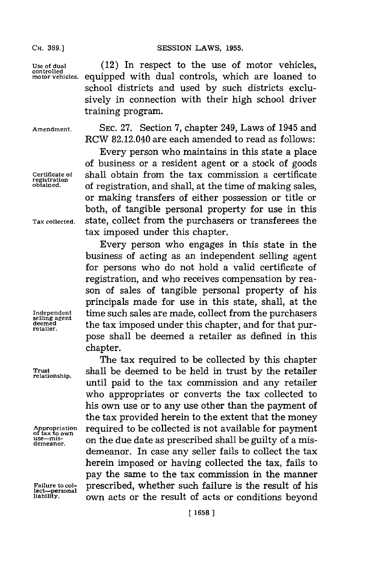**Use of dual** (12) In respect to the use of motor vehicles, **motorvehicles.** equipped with dual controls, which are loaned to school districts and used **by** such districts exclusively in connection with their high school driver training program.

**registration**

**demeanor.**

**lect-personal**

**Amendment. SEC. 27.** Section **7,** chapter 249, Laws of 1945 and RCW 82.12.040 are each amended to read as follows:

Every person who maintains in this state a place of business or a resident agent or a stock of goods **Certificate of** shall obtain from the tax commission a certificate of registration, and shall, at the time of making sales, or making transfers of either possession or title or both, of tangible personal property for use in this **Tax collected,** state, collect from the purchasers or transferees the tax imposed under this chapter.

Every person who engages in this state in the business of acting as an independent selling agent for persons who do not hold a valid certificate of registration, and who receives compensation **by** reason of sales of tangible personal property of his principals made for use in this state, shall, at the Independent **time such sales are made, collect from the purchasers** deemed **the tax imposed under this chapter, and for that pur-** retailer. pose shall be deemed a retailer as defined in this chapter.

The tax required to be collected **by** this chapter **Trutb** shall be deemed to be held in trust **by** the retailer until paid to the tax commission and any retailer who appropriates or converts the tax collected to his own use or to any use other than the payment of the tax provided herein to the extent that the money **Appropriatin** required to be collected is not available for payment **of tax to own use-mis-** on the due date as prescribed shall be guilty of a misdemeanor. In case any seller fails to collect the tax herein imposed or having collected the tax, fails to pay the same to the tax commission in the manner **Failure to col-** prescribed, whether such failure is the result of his **liability,** own acts or the result of acts or conditions beyond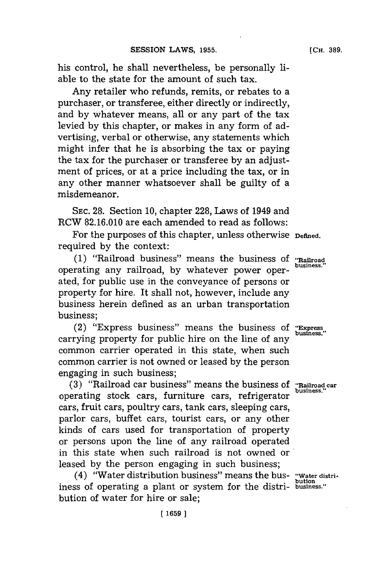his control, he shall nevertheless, be personally liable to the state for the amount of such tax.

Any retailer who refunds, remits, or rebates to a purchaser, or transferee, either directly or indirectly, and **by** whatever means, all or any part of the tax levied **by** this chapter, or makes in any form of advertising, verbal or otherwise, any statements which might infer that he is absorbing the tax or paying the tax for the purchaser or transferee **by** an adjustment of prices, or at a price including the tax, or in any other manner whatsoever shall be guilty of a misdemeanor.

**SEC. 28.** Section **10,** chapter **228,** Laws of 1949 and RCW **82.16.010** are each amended to read as follows:

For the purposes of this chapter, unless otherwise **Defined**. required **by** the context:

**(1)** "Railroad business" means the business of **"Rairoad business."** operating any railroad, **by** whatever power operated, for public use in the conveyance of persons or property for hire. It shall not, however, include any business herein defined as an urban transportation business;

(2) "Express business" means the business of "Express" carrying property for public hire on the line of any common carrier operated in this state, when such common carrier is not owned or leased **by** the person engaging in such business;

**(3)** "Railroad car business" means the business of **"Railroad car** operating stock cars, furniture cars, refrigerator cars, fruit cars, poultry cars, tank cars, sleeping cars, parlor cars, buffet cars, tourist cars, or any other kinds of cars used for transportation of property or persons upon the line of any railroad operated in this state when such railroad is not owned or leased **by** the person engaging in such business;

(4) "Water distribution business" means the bus- **"Water distri**iness of operating a plant or system for the distri- business." bution of water for hire or sale;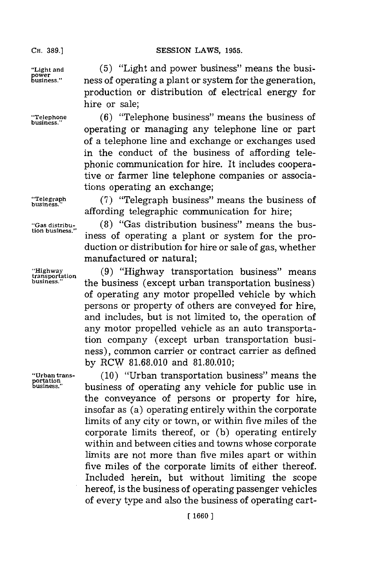**CH. 89.]SESSION** LAWS, **1955.**

power<br>business."

**portation**

"Light and (5) "Light and power business" means the busi**business."** ness of operating a plant or system for the generation, production or distribution of electrical energy for hire or sale;

**"Telehone (6)** "Telephone business" means the business of operating or managing any telephone line or part of a telephone line and exchange or exchanges used in the conduct of the business of affording telephonic communication for hire. It includes cooperative or farmer line telephone companies or associations operating an exchange;

"Telegraph (7) "Telegraph business" means the business of affording telegraphic communication for hire;

"Gas distribu- (8) "Gas distribution business" means the bus-<br>tion business." iness of operating a plant or system for the production or distribution for hire or sale of gas, whether manufactured or natural;

**trgansotto (9)** "Highway transportation business" means **business."** the business (except urban transportation business) of operating any motor propelled vehicle **by** which persons or property of others are conveyed for hire, and includes, but is not limited to, the operation of any motor propelled vehicle as an auto transportation company (except urban transportation business), common carrier or contract carrier as defined **by** RCW **81.68.010** and **81.80.010;**

**"Urban trans- (10)** "Urban transportation business" means the **business."** business of operating any vehicle for public use in the conveyance of persons or property for hire, insofar as (a) operating entirely within the corporate limits of any city or town, or within five miles of the corporate limits thereof, or **(b)** operating entirely within and between cities and towns whose corporate limits are not more than five miles apart or within five miles of the corporate limits of either thereof. Included herein, but without limiting the scope hereof, is the business of operating passenger vehicles of every type and also the business of operating cart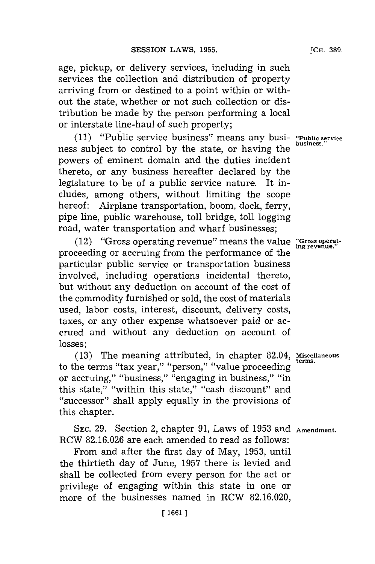age, pickup, or delivery services, including in such services the collection and distribution of property arriving from or destined to a point within or without the state, whether or not such collection or distribution be made **by** the person performing a local or interstate line-haul of such property;

**(11)** "Public service business" means any busi- **"Public service** ness subject to control by the state, or having the powers of eminent domain and the duties incident thereto, or any business hereafter declared **by** the legislature to be of a public service nature. It includes, among others, without limiting the scope hereof: Airplane transportation, boom, dock, ferry, pipe line, public warehouse, toll bridge, toll logging road, water transportation and wharf businesses;

 $(12)$  "Gross operating revenue" means the value "Gross operate." proceeding or accruing from the performance of the particular public service or transportation business involved, including operations incidental thereto, but without any deduction on account of the cost of the commodity furnished or sold, the cost of materials used, labor costs, interest, discount, delivery costs, taxes, or any other expense whatsoever paid or accrued and without any deduction on account of losses;

**(13)** The meaning attributed, in chapter 82.04, **Miscellaneous** to the terms "tax year," "person," "value proceeding or accruing," "business," "engaging in business," "in this state," "within this state." "cash discount" and ''successor'' shall apply equally in the provisions of this chapter.

**SEC. 29.** Section 2, chapter **91,** Laws of **1953** and **Amendment.** RCW **82.16.026** are each amended to read as follows:

From and after the first day of May, **1953,** until the thirtieth day of June, **1957** there is levied and shall be collected from every person for the act or privilege of engaging within this state in one or more of the businesses named in RCW **82.16.020,**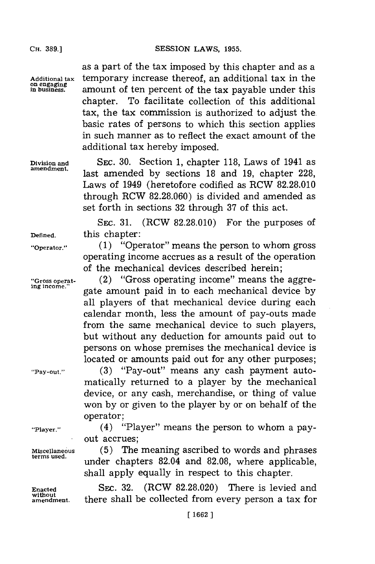as a part of the tax imposed **by** this chapter and as a Additional tax **temporary increase thereof**, an additional tax in the on engaging **amount** of ten percent of the tax payable under this chapter. To facilitate collection of this additional tax, the tax commission is authorized to adjust the. basic rates of persons to which this section applies in such manner as to reflect the exact amount of the additional tax hereby imposed.

**Division and SEC. 30.** Section **1,** chapter **118,** Laws of 1941 as amedmet.last amended **by** sections **18** and **19,** chapter **228,** Laws of 1949 (heretofore codified as RCW **82.28.010** through RCW **82.28.060)** is divided and amended as set forth in sections **32** through **37** of this act.

**SEC. 31.** (RCW **82.28.010)** For the purposes of **Defined,** this chapter:

**"Operator." (1)** "Operator" means the person to whom gross operating income accrues as a result of the operation of the mechanical devices described herein;

**"Gross operat-** (2) "Gross operating income" means the aggre**ing income."** gate amount paid in to each mechanical device **by** all players of that mechanical device during each calendar month, less the amount of pay-outs made from the same mechanical device to such players, but without any deduction for amounts paid out to persons on whose premises the mechanical device is located or amounts paid out for any other purposes;

**"Pay-out." (3)** "Pay-out" means any cash payment automatically returned to a player **by** the mechanical device, or any cash, merchandise, or thing of value won **by** or given to the player **by** or on behalf of the operator;

**"Player."** (4) "Player" means the person to whom a payout accrues;

**Miscellaneous (5)** The meaning ascribed to words and phrases under chapters 82.04 and 82.08, where applicable, shall apply equally in respect to this chapter.

**Enacted** SEC. **32.** (RCW **82.28.020)** There is levied and **without amendment,** there shall be collected from every person a tax for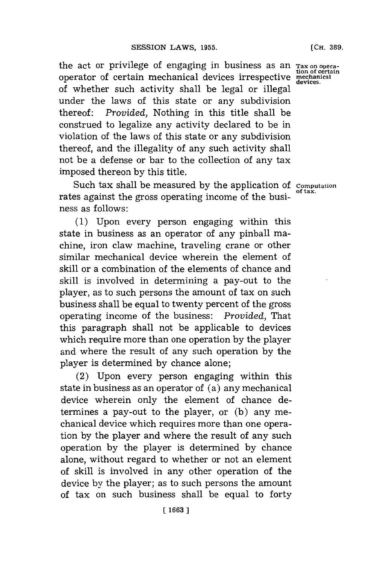the act or privilege of engaging in business as an **Tax on opera- tion of certain** operator of certain mechanical devices irrespective **mechanical devices.** of whether such activity shall be legal or illegal under the laws of this state or any subdivision thereof: *Provided,* Nothing in this title shall be construed to legalize any activity declared to be in violation of the laws of this state or any subdivision thereof, and the illegality of any such activity shall not be a defense or bar to the collection of any tax imposed thereon **by** this title.

Such tax shall be measured **by** the application of **computation** rates against the gross operating income of the business as follows:

**(1)** Upon every person engaging within this state in business as an operator of any pinball machine, iron claw machine, traveling crane or other similar mechanical device wherein the element of skill or a combination of the elements of chance and skill is involved in determining a pay-out to the player, as to such persons the amount of tax on such business shall be equal to twenty percent of the gross operating income of the business: *Provided,* That this paragraph shall not be applicable to devices which require more than one operation **by** the player and where the result of any such operation **by** the player is determined **by** chance alone;

(2) Upon every person engaging within this state in business as an operator of (a) any mechanical device wherein only the element of chance determines a pay-out to the player, or **(b)** any mechanical device which requires more than one operation **by** the player and where the result of any such operation **by** the player is determined **by** chance alone, without regard to whether or not an element of skill is involved in any other operation of the device **by** the player; as to such persons the amount of tax on such business shall be equal to forty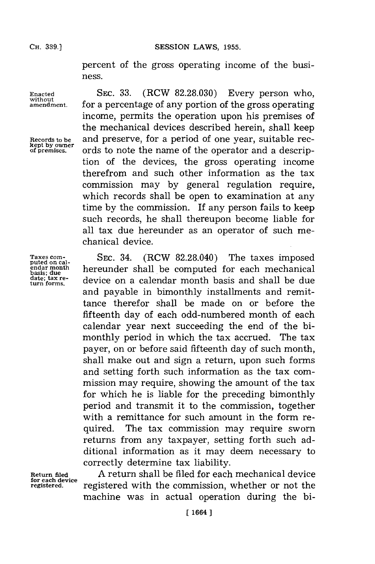percent of the gross operating income of the business.

**Taxes com- puted on calendar month basis; due date; tax re- turn forms.**

Enacted **SEC. 33.** (RCW 82.28.030) Every person who, without amendment for a percentage of any portion of the gross operating for a percentage of any portion of the gross operating income, permits the operation upon his premises of the mechanical devices described herein, shall keep Records to be and preserve, for a period of one year, suitable rec-<br>
<u>Rept by owner</u><br>
of premises. Ords to note the name of the operator and a descripords to note the name of the operator and a description of the devices, the gross operating income therefrom and such other information as the tax commission may **by** general regulation require, which records shall be open to examination at any time **by** the commission. If any person fails to keep such records, he shall thereupon become liable for all tax due hereunder as an operator of such mechanical device.

> **SEC.** 34. (RCW **82.28.040)** The taxes imposed hereunder shall be computed **for** each mechanical device on a calendar month basis and shall be due and payable in bimonthly installments and remittance therefor shall be made on or before the fifteenth day of each odd-numbered month of each calendar year next succeeding the end of the bimonthly period in which the tax accrued. The tax payer, on or before said fifteenth day of such month, shall make out and sign a return, upon such forms and setting forth such information as the tax commission may require, showing the amount of the tax for which he is liable for the preceding bimonthly period and transmit it to the commission, together with a remittance for such amount in the form required. The tax commission may require sworn returns from any taxpayer, setting forth such additional information as it may deem necessary to correctly determine tax liability.

**Return filed for each device registered.**

**A** return shall be filed for each mechanical device registered with the commission, whether or not the machine was in actual operation during the bi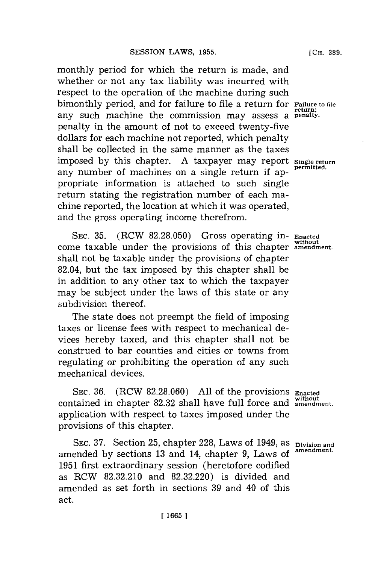monthly period for which the return is made, and whether or not any tax liability was incurred with respect to the operation of the machine during such bimonthly period, and for failure to file a return for **Failure** to file any such machine the commission may assess a **penalty.** penalty in the amount of not to exceed twenty-five dollars for each machine not reported, which penalty shall be collected in the same manner as the taxes imposed **by** this chapter. **A** taxpayer may report **Single return** any number of machines on a single return if appropriate information is attached to such single return stating the registration number of each machine reported, the location at which it was operated, and the gross operating income therefrom.

**SEC. 35.** (RCW **82.28.050)** Gross operating in- **Enacted without** come taxable under the provisions of this chapter **amendment.** shall not be taxable under the provisions of chapter 82.04, but the tax imposed **by** this chapter shall be in addition to any other tax to which the taxpayer may be subject under the laws of this state or any subdivision thereof.

The state does not preempt the field of imposing taxes or license fees with respect to mechanical devices hereby taxed, and this chapter shall not be construed to bar counties and cities or towns from regulating or prohibiting the operation of any such mechanical devices.

SEC. **36.** (RCW **82.28.060) All** of the provisions **Enacted without** contained in chapter **82.32** shall have full force and **amendment.** application with respect to taxes imposed under the provisions of this chapter.

**SEC. 37. Section 25, chapter 228, Laws of 1949, as pivision and** amended by sections 13 and 14, chapter 9, Laws of <sup>amendment</sup> **1951** first extraordinary session (heretofore codified as RCW **82.32.210** and **82.32.220)** is divided and amended as set forth in sections **39** and 40 of this act.

**[CH. 389.**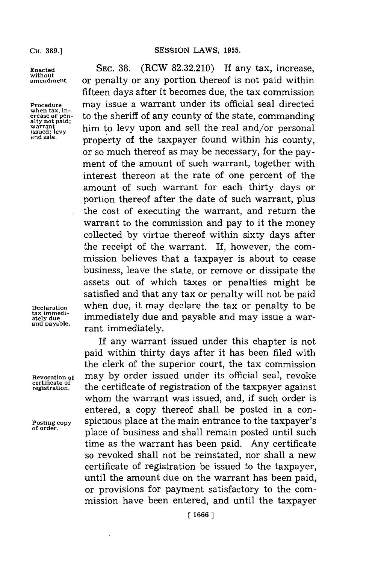**without**

**tax immedi-**

**certificate of**

**Enacted** SEC. **38.** (RCW **82.32.210) If** any tax, increase, **amendment.** or penalty or any portion thereof is not paid within fifteen days after it becomes due, the tax commission **Procedure** may issue a warrant under its official seal directed when tax, in-<br>
crease or pen-<br>
alty not paid;<br>
warrant to levy upon and sell the real and/or personal<br>
and sale.<br> **and sale.**<br> **proporty** of the taxpayer found within his county **warrantlev** him to levy upon and sell the real and/or personal property of the taxpayer found within his county, or so much thereof as may be necessary, for the payment of the amount of such warrant, together with interest thereon at the rate of one percent of the amount of such warrant for each thirty days or portion thereof after the date of such warrant, plus the cost of executing the warrant, and return the warrant to the commission and pay to it the money collected **by** virtue thereof within sixty days after the receipt of the warrant. If, however, the commission believes that a taxpayer is about to cease business, leave the state, or remove or dissipate the assets out of which taxes or penalties might be satisfied and that any tax or penalty will not be paid **Declaration** when due, it may declare the tax or penalty to be immediately due and payable and may issue a warrant immediately.

If any warrant issued under this chapter is not paid within thirty days after it has been filed with the clerk of the superior court, the tax commission may by order issued under its official seal, revoke **regiatration.** the certificate of registration of the taxpayer against whom the warrant was issued, and, if such order is entered, a copy thereof shall be posted in a con-Posting copy spicuous place at the main entrance to the taxpayer's **of order.** place of business and shall remain posted until such time as the warrant has been paid. Any certificate so revoked shall not be reinstated, nor shall a new certificate of registration be issued to the taxpayer, until the amount due on the warrant has been paid, or provisions for payment satisfactory to the commission have been entered, and until the taxpayer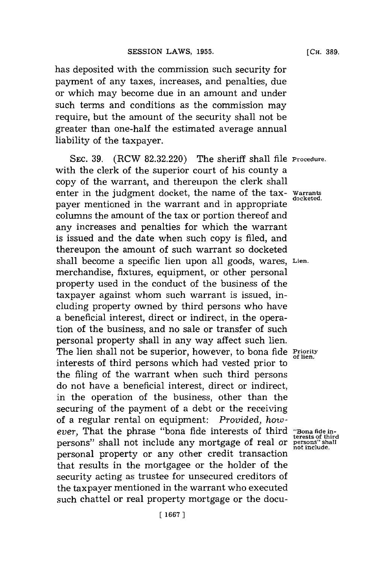has deposited with the commission such security for payment of any taxes, increases, and penalties, due or which may become due in an amount and under such terms and conditions as the commission may require, but the amount of the security shall not be greater than one-half the estimated average annual liability of the taxpayer.

**SEC. 39.** (RCW **82.32.220)** The sheriff shall file **Procedure.** with the clerk of the superior court of his county a copy of the warrant, and thereupon the clerk shall enter in the judgment docket, the name of the tax- Warrants payer mentioned in the warrant and in appropriate columns the amount of the tax or portion thereof and any increases and penalties for which the warrant is issued and the date when such copy is filed, and thereupon the amount of such warrant so docketed shall become a specific lien upon all goods, wares, **Lien.** merchandise, fixtures, equipment, or other personal property used in the conduct of the business of the taxpayer against whom such warrant is issued, including property owned **by** third persons who have a beneficial interest, direct or indirect, in the operation of the business, and no sale or transfer of such personal property shall in any way affect such lien. The lien shall not be superior, however, to bona fide **Priority of lien,** interests of third persons which had vested prior to the filing of the warrant when such third persons do not have a beneficial interest, direct or indirect, in the operation of the business, other than the securing of the payment of a debt or the receiving of a regular rental on equipment: *Provided, however,* That the phrase "bona fide interests of third **"Bona fidein** persons" shall not include any mortgage of real or **persons" shall** personal property or any other credit transaction that results in the mortgagee or the holder of the security acting as trustee for unsecured creditors of the taxpayer mentioned in the warrant who executed such chattel or real property mortgage or the docu-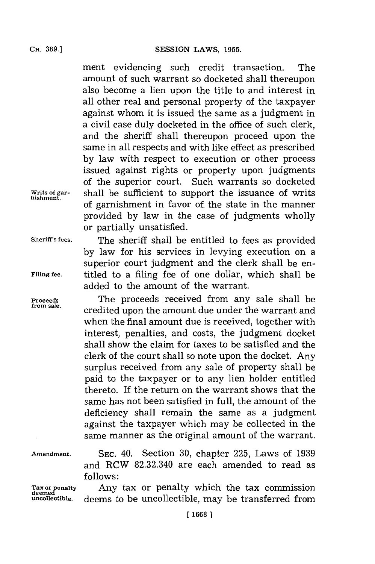ment evidencing such credit transaction. The amount of such warrant so docketed shall thereupon also become a lien upon the title to and interest in all other real and personal property of the taxpayer against whom it is issued the same as a judgment in a civil case duly docketed in the office of such clerk, and the sheriff shall thereupon proceed upon the same in all respects and with like effect as prescribed **by** law with respect to execution or other process issued against rights or property upon judgments of the superior court. Such warrants so docketed shall be sufficient to support the issuance of writs of garnishment in favor of. the state in the manner provided **by** law in the case of judgments wholly or partially unsatisfied.

**nishment.**

**Sheriff's fees.** The sheriff shall be entitled to fees as provided **by** law for his services in levying execution on a superior court judgment and the clerk shall be en-**Filing fee,** titled to a filing fee of one dollar, which shall be added to the amount of the warrant.

Proceeds **The proceeds received from any sale shall be** credited upon the amount due under the warrant and when the final amount due is received, together with interest, penalties, and costs, the judgment docket shall show the claim for taxes to be satisfied and the clerk of the court shall so note upon the docket. Any surplus received from any sale of property shall be paid to the taxpayer or to any lien holder entitled thereto. If the return on the warrant shows that the same has not been satisfied in full, the amount of the deficiency shall remain the same as a judgment against the taxpayer which may be collected in the same manner as the original amount of the warrant.

Tax or penalty<br>deemed<br>uncollectible.

**Amendment. SEC.** 40. Section **30,** chapter **225,** Laws of **1939** and RCW **82.32.340** are each amended to read as **follows:**

> Any tax or penalty which the tax commission deems to be uncollectible, may be transferred from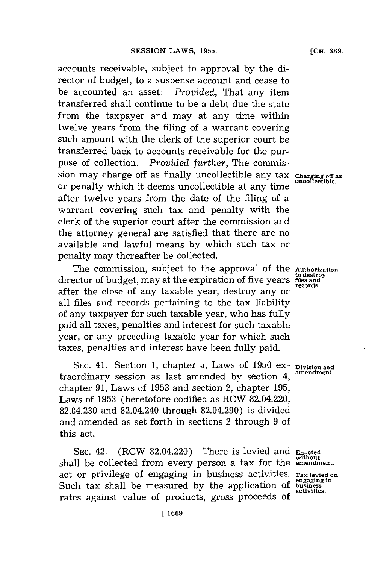accounts receivable, subject to approval **by** the director of budget, to a suspense account and cease to be accounted an asset: *Provided,* That any item transferred shall continue to be a debt due the state from the taxpayer and may at any time within twelve years from the filing of a warrant covering such amount with the clerk of the superior court be transferred back to accounts receivable for the purpose of collection: *Provided further,* The commission may charge off as finally uncollectible any tax **Charging off as uncollectible.** or penalty which it deems uncollectible at any time after twelve years from the date of the filing of a warrant covering such tax and penalty with the clerk of the superior court after the commission and the attorney general are satisfied that there are no available and lawful means **by** which such tax or penalty may thereafter be collected.

The commission, subject to the approval of the director of budget, may at the expiration of five years after the close of any taxable year, destroy any or all files and records pertaining to the tax liability of any taxpayer for such taxable year, who has fully paid all taxes, penalties and interest for such taxable year, or any preceding taxable year for which such taxes, penalties and interest have been fully paid.

**SEC.** 41. Section **1,** chapter **5,** Laws of **1950** ex- **Division and amendment.** traordinary session as last amended **by** section 4 **,** chapter **91,** Laws of **1953** and section 2, chapter **195,** Laws of **1953** (heretofore codified as RCW 82.04.220, 82.04.230 and 82.04.240 through 82.04.290) is divided and amended as set forth in sections 2 through **9** of this act.

**SEC.** 42. (RCW 82.04.220) There is levied and **Enacted** shall be collected from every person a tax for the **amendment** act or privilege of engaging in business activities. **Tax levied on engaging in** Such tax shall be measured **by** the application of **business** rates against value of products, gross proceeds of

**Authorization to destroy files and records.**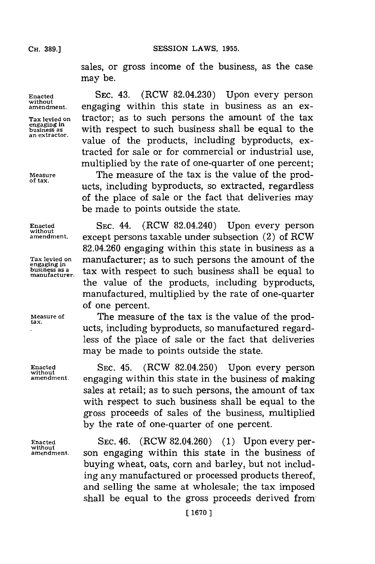**CH. 389.]**

sales, or gross income of the business, as the case may be.

engaging in<br>business as

**Enacted SEC.** 43. (RCW 82.04.230) Upon every person **without amendment,** engaging within this state in business as an ex-**Tax levied on** tractor; as to such persons the amount of the tax **business as business** as **with respect to such business shall be equal to the an extractor. value of the products, including byproducts, ex**tracted for sale or for commercial or industrial use, multiplied **by** the rate of one-quarter of one percent;

**Measure** The measure of the tax is the value of the products, including byproducts, so extracted, regardless of the place of sale or the fact that deliveries may be made to points outside the state.

**Enacted SEC.** 44. (RCW 82.04.240) Upon every person **without except persons taxable under subsection (2) of RCW** 82.04.260 engaging within this state in business as a **Tax levied on** manufacturer; as to such persons the amount of the **engaging in**  $\frac{\text{cm}}{\text{Dusiness}}$  tax with respect to such business shall be equal to the value of the products, including byproducts, manufactured, multiplied **by** the rate of one-quarter of one percent.

**Measure of** The measure of the tax is the value of the prod- **tax.** ucts, including byproducts, so manufactured regardless of the place of sale or the fact that deliveries may be made to points outside the state.

Enacted **SEC. 45.** (RCW 82.04.250) Upon every person without amendment. **engaging within this state in the husiness of making amendment,** engaging within this state in the business of making sales at retail; as to such persons, the amount of tax with respect to such business shall be equal to the gross proceeds of sales of the business, multiplied **by** the rate of one-quarter of one percent.

Enacted **SEC. 46.** (RCW 82.04.260) (1) Upon every per-<br>without some engaging within this state in the business of son engaging within this state in the business of buying wheat, oats, corn and barley, but not including any manufactured or processed products thereof, and selling the same at wholesale; the tax imposed shall be equal to the gross proceeds derived from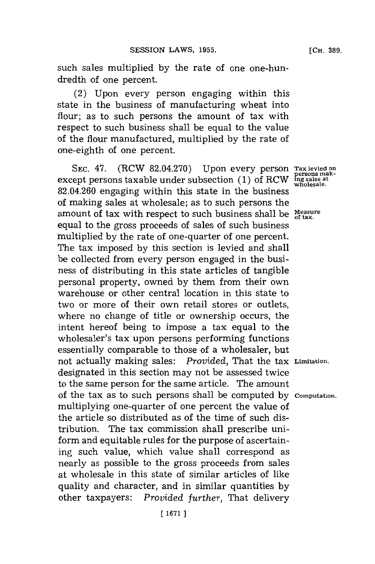such sales multiplied **by** the rate of one one-hundredth of one percent.

(2) Upon every person engaging within this state in the business of manufacturing wheat into flour; as to such persons the amount of tax with respect to such business shall be equal to the value of the flour manufactured, multiplied **by** the rate of one-eighth of one percent.

SEC. 47. (RCW 82.04.270) Upon every person Tax levied on **PERSONS** makexcept persons taxable under subsection (1) of RCW 82.04.260 engaging within this state in the business of making sales at wholesale; as to such persons the amount of tax with respect to such business shall be  $M_{\text{max}}$ equal to the gross proceeds of sales of such business multiplied **by** the rate of one-quarter of one percent. The tax imposed **by** this section is levied and shall be collected from every person engaged in the business of distributing in this state articles of tangible personal property, owned **by** them from their own warehouse or other central location in this state to two or more of their own retail stores or outlets, where no change of title or ownership occurs, the intent hereof being to impose a tax equal to the wholesaler's tax upon persons performing functions essentially comparable to those of a wholesaler, but not actually making sales: *Provided,* That the tax **Limitation.** designated in this section may not be assessed twice to the same person **for** the same article. The amount of the tax as to such persons shall be computed **by Computation.** multiplying one-quarter of one percent the value of the article so distributed as of the time of such distribution. The tax commission shall prescribe uniform and equitable rules for the purpose of ascertaining such value, which value shall correspond as nearly as possible to the gross proceeds from sales at wholesale in this state of similar articles of like quality and character, and in similar quantities **by** other taxpayers: *Provided further,* That delivery